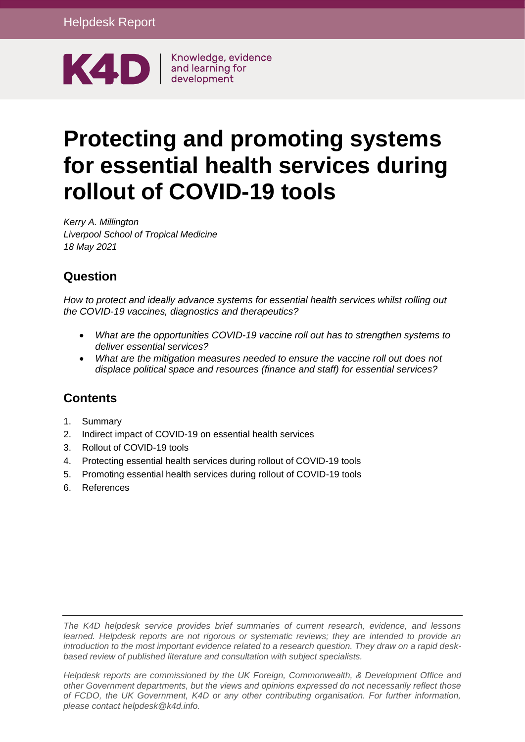

Knowledge, evidence

# **Protecting and promoting systems for essential health services during rollout of COVID-19 tools**

*Kerry A. Millington Liverpool School of Tropical Medicine 18 May 2021*

#### **Question**

*How to protect and ideally advance systems for essential health services whilst rolling out the COVID-19 vaccines, diagnostics and therapeutics?*

- *What are the opportunities COVID-19 vaccine roll out has to strengthen systems to deliver essential services?*
- *What are the mitigation measures needed to ensure the vaccine roll out does not displace political space and resources (finance and staff) for essential services?*

#### **Contents**

- 1. [Summary](#page-1-0)
- 2. [Indirect impact of COVID-19 on essential health services](#page-2-0)
- 3. [Rollout of COVID-19 tools](#page-4-0)
- 4. [Protecting essential health services during rollout of COVID-19 tools](#page-6-0)
- 5. [Promoting essential health services during rollout of COVID-19 tools](#page-7-0)
- 6. [References](#page-9-0)

*The K4D helpdesk service provides brief summaries of current research, evidence, and lessons learned. Helpdesk reports are not rigorous or systematic reviews; they are intended to provide an introduction to the most important evidence related to a research question. They draw on a rapid deskbased review of published literature and consultation with subject specialists.* 

*Helpdesk reports are commissioned by the UK Foreign, Commonwealth, & Development Office and other Government departments, but the views and opinions expressed do not necessarily reflect those of FCDO, the UK Government, K4D or any other contributing organisation. For further information, please contact helpdesk@k4d.info.*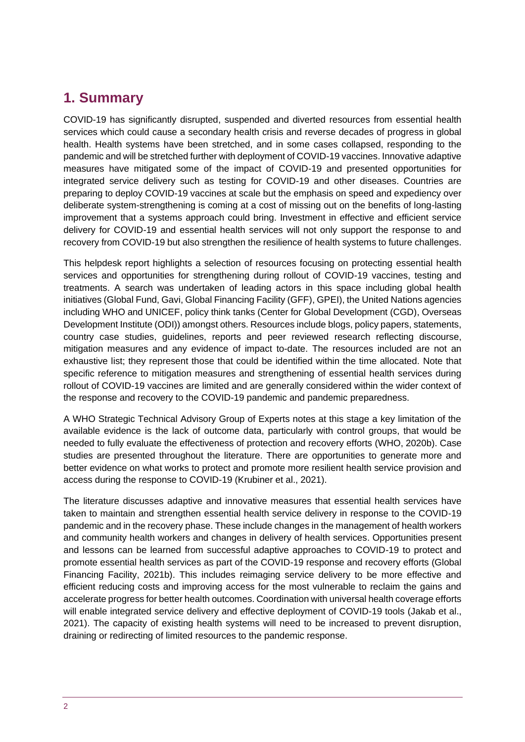#### <span id="page-1-0"></span>**1. Summary**

COVID-19 has significantly disrupted, suspended and diverted resources from essential health services which could cause a secondary health crisis and reverse decades of progress in global health. Health systems have been stretched, and in some cases collapsed, responding to the pandemic and will be stretched further with deployment of COVID-19 vaccines. Innovative adaptive measures have mitigated some of the impact of COVID-19 and presented opportunities for integrated service delivery such as testing for COVID-19 and other diseases. Countries are preparing to deploy COVID-19 vaccines at scale but the emphasis on speed and expediency over deliberate system-strengthening is coming at a cost of missing out on the benefits of long-lasting improvement that a systems approach could bring. Investment in effective and efficient service delivery for COVID-19 and essential health services will not only support the response to and recovery from COVID-19 but also strengthen the resilience of health systems to future challenges.

This helpdesk report highlights a selection of resources focusing on protecting essential health services and opportunities for strengthening during rollout of COVID-19 vaccines, testing and treatments. A search was undertaken of leading actors in this space including global health initiatives (Global Fund, Gavi, Global Financing Facility (GFF), GPEI), the United Nations agencies including WHO and UNICEF, policy think tanks (Center for Global Development (CGD), Overseas Development Institute (ODI)) amongst others. Resources include blogs, policy papers, statements, country case studies, guidelines, reports and peer reviewed research reflecting discourse, mitigation measures and any evidence of impact to-date. The resources included are not an exhaustive list; they represent those that could be identified within the time allocated. Note that specific reference to mitigation measures and strengthening of essential health services during rollout of COVID-19 vaccines are limited and are generally considered within the wider context of the response and recovery to the COVID-19 pandemic and pandemic preparedness.

A WHO Strategic Technical Advisory Group of Experts notes at this stage a key limitation of the available evidence is the lack of outcome data, particularly with control groups, that would be needed to fully evaluate the effectiveness of protection and recovery efforts (WHO, 2020b). Case studies are presented throughout the literature. There are opportunities to generate more and better evidence on what works to protect and promote more resilient health service provision and access during the response to COVID-19 (Krubiner et al., 2021).

The literature discusses adaptive and innovative measures that essential health services have taken to maintain and strengthen essential health service delivery in response to the COVID-19 pandemic and in the recovery phase. These include changes in the management of health workers and community health workers and changes in delivery of health services. Opportunities present and lessons can be learned from successful adaptive approaches to COVID-19 to protect and promote essential health services as part of the COVID-19 response and recovery efforts (Global Financing Facility, 2021b). This includes reimaging service delivery to be more effective and efficient reducing costs and improving access for the most vulnerable to reclaim the gains and accelerate progress for better health outcomes. Coordination with universal health coverage efforts will enable integrated service delivery and effective deployment of COVID-19 tools (Jakab et al., 2021). The capacity of existing health systems will need to be increased to prevent disruption, draining or redirecting of limited resources to the pandemic response.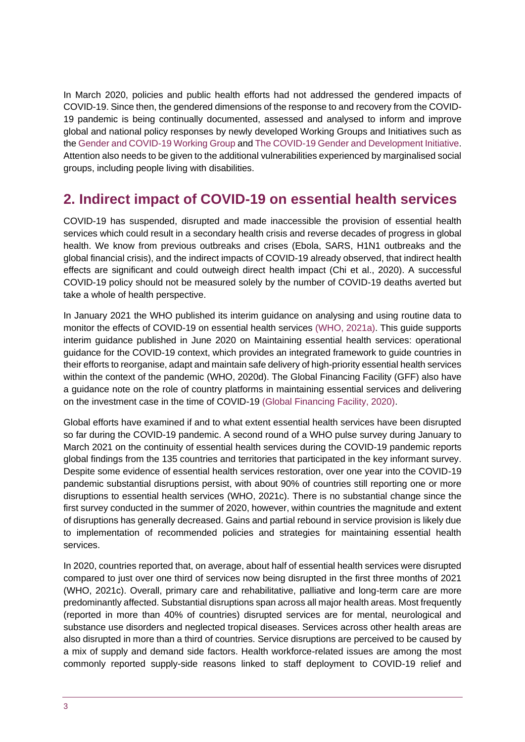In March 2020, policies and public health efforts had not addressed the gendered impacts of COVID-19. Since then, the gendered dimensions of the response to and recovery from the COVID-19 pandemic is being continually documented, assessed and analysed to inform and improve global and national policy responses by newly developed Working Groups and Initiatives such as the [Gender and COVID-19 Working Group](https://www.genderandcovid-19.org/) an[d The COVID-19 Gender and Development Initiative.](https://www.cgdev.org/project/covid-gender-initiative) Attention also needs to be given to the additional vulnerabilities experienced by marginalised social groups, including people living with disabilities.

## <span id="page-2-0"></span>**2. Indirect impact of COVID-19 on essential health services**

COVID-19 has suspended, disrupted and made inaccessible the provision of essential health services which could result in a secondary health crisis and reverse decades of progress in global health. We know from previous outbreaks and crises (Ebola, SARS, H1N1 outbreaks and the global financial crisis), and the indirect impacts of COVID-19 already observed, that indirect health effects are significant and could outweigh direct health impact (Chi et al., 2020). A successful COVID-19 policy should not be measured solely by the number of COVID-19 deaths averted but take a whole of health perspective.

In January 2021 the WHO published its interim guidance on analysing and using routine data to monitor the effects of COVID-19 on essential health services (WHO, 2021a). This guide supports interim guidance published in June 2020 on Maintaining essential health services: operational guidance for the COVID-19 context, which provides an integrated framework to guide countries in their efforts to reorganise, adapt and maintain safe delivery of high-priority essential health services within the context of the pandemic (WHO, 2020d). The Global Financing Facility (GFF) also have a guidance note on the role of country platforms in maintaining essential services and delivering on the investment case in the time of COVID-19 (Global Financing Facility, 2020).

Global efforts have examined if and to what extent essential health services have been disrupted so far during the COVID-19 pandemic. A second round of a WHO pulse survey during January to March 2021 on the continuity of essential health services during the COVID-19 pandemic reports global findings from the 135 countries and territories that participated in the key informant survey. Despite some evidence of essential health services restoration, over one year into the COVID-19 pandemic substantial disruptions persist, with about 90% of countries still reporting one or more disruptions to essential health services (WHO, 2021c). There is no substantial change since the first survey conducted in the summer of 2020, however, within countries the magnitude and extent of disruptions has generally decreased. Gains and partial rebound in service provision is likely due to implementation of recommended policies and strategies for maintaining essential health services.

In 2020, countries reported that, on average, about half of essential health services were disrupted compared to just over one third of services now being disrupted in the first three months of 2021 (WHO, 2021c). Overall, primary care and rehabilitative, palliative and long-term care are more predominantly affected. Substantial disruptions span across all major health areas. Most frequently (reported in more than 40% of countries) disrupted services are for mental, neurological and substance use disorders and neglected tropical diseases. Services across other health areas are also disrupted in more than a third of countries. Service disruptions are perceived to be caused by a mix of supply and demand side factors. Health workforce-related issues are among the most commonly reported supply-side reasons linked to staff deployment to COVID-19 relief and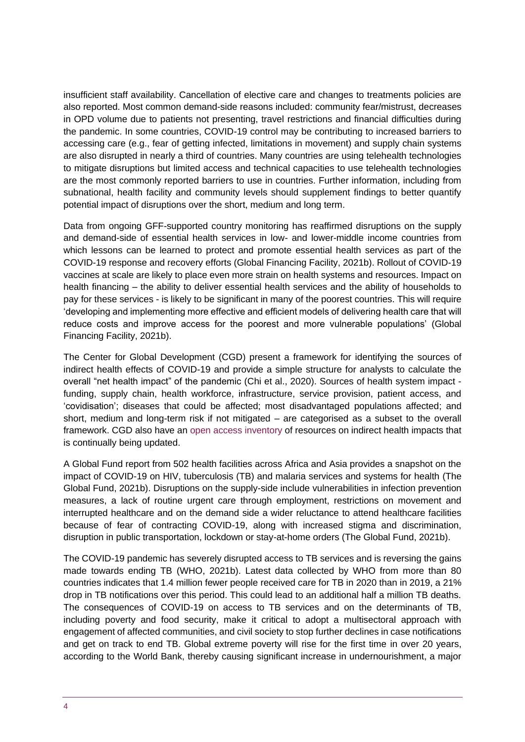insufficient staff availability. Cancellation of elective care and changes to treatments policies are also reported. Most common demand-side reasons included: community fear/mistrust, decreases in OPD volume due to patients not presenting, travel restrictions and financial difficulties during the pandemic. In some countries, COVID-19 control may be contributing to increased barriers to accessing care (e.g., fear of getting infected, limitations in movement) and supply chain systems are also disrupted in nearly a third of countries. Many countries are using telehealth technologies to mitigate disruptions but limited access and technical capacities to use telehealth technologies are the most commonly reported barriers to use in countries. Further information, including from subnational, health facility and community levels should supplement findings to better quantify potential impact of disruptions over the short, medium and long term.

Data from ongoing GFF-supported country monitoring has reaffirmed disruptions on the supply and demand-side of essential health services in low- and lower-middle income countries from which lessons can be learned to protect and promote essential health services as part of the COVID-19 response and recovery efforts (Global Financing Facility, 2021b). Rollout of COVID-19 vaccines at scale are likely to place even more strain on health systems and resources. Impact on health financing – the ability to deliver essential health services and the ability of households to pay for these services - is likely to be significant in many of the poorest countries. This will require 'developing and implementing more effective and efficient models of delivering health care that will reduce costs and improve access for the poorest and more vulnerable populations' (Global Financing Facility, 2021b).

The Center for Global Development (CGD) present a framework for identifying the sources of indirect health effects of COVID-19 and provide a simple structure for analysts to calculate the overall "net health impact" of the pandemic (Chi et al., 2020). Sources of health system impact funding, supply chain, health workforce, infrastructure, service provision, patient access, and 'covidisation'; diseases that could be affected; most disadvantaged populations affected; and short, medium and long-term risk if not mitigated – are categorised as a subset to the overall framework. CGD also have an [open access inventory](https://docs.google.com/spreadsheets/d/1_MBh3FmuSZK-9UQsrBYaYtIHdCqnez9oqJ8t216LkbE/edit#gid=484814669) of resources on indirect health impacts that is continually being updated.

A Global Fund report from 502 health facilities across Africa and Asia provides a snapshot on the impact of COVID-19 on HIV, tuberculosis (TB) and malaria services and systems for health (The Global Fund, 2021b). Disruptions on the supply-side include vulnerabilities in infection prevention measures, a lack of routine urgent care through employment, restrictions on movement and interrupted healthcare and on the demand side a wider reluctance to attend healthcare facilities because of fear of contracting COVID-19, along with increased stigma and discrimination, disruption in public transportation, lockdown or stay-at-home orders (The Global Fund, 2021b).

The COVID-19 pandemic has severely disrupted access to TB services and is reversing the gains made towards ending TB (WHO, 2021b). Latest data collected by WHO from more than 80 countries indicates that 1.4 million fewer people received care for TB in 2020 than in 2019, a 21% drop in TB notifications over this period. This could lead to an additional half a million TB deaths. The consequences of COVID-19 on access to TB services and on the determinants of TB, including poverty and food security, make it critical to adopt a multisectoral approach with engagement of affected communities, and civil society to stop further declines in case notifications and get on track to end TB. Global extreme poverty will rise for the first time in over 20 years, according to the World Bank, thereby causing significant increase in undernourishment, a major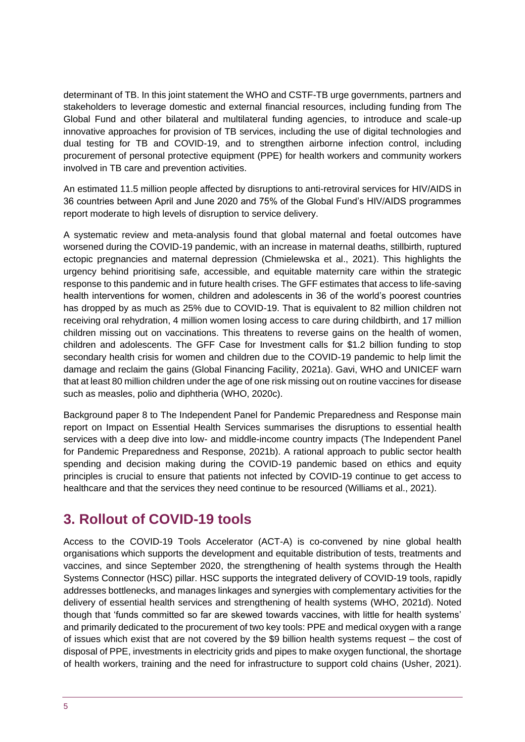determinant of TB. In this joint statement the WHO and CSTF-TB urge governments, partners and stakeholders to leverage domestic and external financial resources, including funding from The Global Fund and other bilateral and multilateral funding agencies, to introduce and scale-up innovative approaches for provision of TB services, including the use of digital technologies and dual testing for TB and COVID-19, and to strengthen airborne infection control, including procurement of personal protective equipment (PPE) for health workers and community workers involved in TB care and prevention activities.

An estimated 11.5 million people affected by disruptions to anti-retroviral services for HIV/AIDS in 36 countries between April and June 2020 and 75% of the Global Fund's HIV/AIDS programmes report moderate to high levels of disruption to service delivery.

A systematic review and meta-analysis found that global maternal and foetal outcomes have worsened during the COVID-19 pandemic, with an increase in maternal deaths, stillbirth, ruptured ectopic pregnancies and maternal depression (Chmielewska et al., 2021). This highlights the urgency behind prioritising safe, accessible, and equitable maternity care within the strategic response to this pandemic and in future health crises. The GFF estimates that access to life-saving health interventions for women, children and adolescents in 36 of the world's poorest countries has dropped by as much as 25% due to COVID-19. That is equivalent to 82 million children not receiving oral rehydration, 4 million women losing access to care during childbirth, and 17 million children missing out on vaccinations. This threatens to reverse gains on the health of women, children and adolescents. The GFF Case for Investment calls for \$1.2 billion funding to stop secondary health crisis for women and children due to the COVID-19 pandemic to help limit the damage and reclaim the gains (Global Financing Facility, 2021a). Gavi, WHO and UNICEF warn that at least 80 million children under the age of one risk missing out on routine vaccines for disease such as measles, polio and diphtheria (WHO, 2020c).

Background paper 8 to The Independent Panel for Pandemic Preparedness and Response main report on Impact on Essential Health Services summarises the disruptions to essential health services with a deep dive into low- and middle-income country impacts (The Independent Panel for Pandemic Preparedness and Response, 2021b). A rational approach to public sector health spending and decision making during the COVID-19 pandemic based on ethics and equity principles is crucial to ensure that patients not infected by COVID-19 continue to get access to healthcare and that the services they need continue to be resourced (Williams et al., 2021).

## <span id="page-4-0"></span>**3. Rollout of COVID-19 tools**

Access to the COVID-19 Tools Accelerator (ACT-A) is co-convened by nine global health organisations which supports the development and equitable distribution of tests, treatments and vaccines, and since September 2020, the strengthening of health systems through the Health Systems Connector (HSC) pillar. HSC supports the integrated delivery of COVID-19 tools, rapidly addresses bottlenecks, and manages linkages and synergies with complementary activities for the delivery of essential health services and strengthening of health systems (WHO, 2021d). Noted though that 'funds committed so far are skewed towards vaccines, with little for health systems' and primarily dedicated to the procurement of two key tools: PPE and medical oxygen with a range of issues which exist that are not covered by the \$9 billion health systems request – the cost of disposal of PPE, investments in electricity grids and pipes to make oxygen functional, the shortage of health workers, training and the need for infrastructure to support cold chains (Usher, 2021).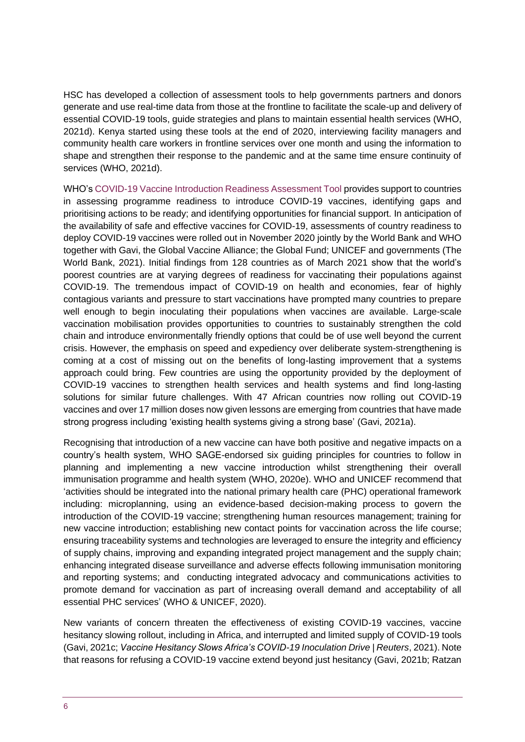HSC has developed a collection of assessment tools to help governments partners and donors generate and use real-time data from those at the frontline to facilitate the scale-up and delivery of essential COVID-19 tools, guide strategies and plans to maintain essential health services (WHO, 2021d). Kenya started using these tools at the end of 2020, interviewing facility managers and community health care workers in frontline services over one month and using the information to shape and strengthen their response to the pandemic and at the same time ensure continuity of services (WHO, 2021d).

WHO's [COVID-19 Vaccine Introduction Readiness Assessment Tool](https://www.who.int/publications/i/item/WHO-2019-nCoV-Vaccine-introduction-RA-Tool-2020.1) provides support to countries in assessing programme readiness to introduce COVID-19 vaccines, identifying gaps and prioritising actions to be ready; and identifying opportunities for financial support. In anticipation of the availability of safe and effective vaccines for COVID-19, assessments of country readiness to deploy COVID-19 vaccines were rolled out in November 2020 jointly by the World Bank and WHO together with Gavi, the Global Vaccine Alliance; the Global Fund; UNICEF and governments (The World Bank, 2021). Initial findings from 128 countries as of March 2021 show that the world's poorest countries are at varying degrees of readiness for vaccinating their populations against COVID-19. The tremendous impact of COVID-19 on health and economies, fear of highly contagious variants and pressure to start vaccinations have prompted many countries to prepare well enough to begin inoculating their populations when vaccines are available. Large-scale vaccination mobilisation provides opportunities to countries to sustainably strengthen the cold chain and introduce environmentally friendly options that could be of use well beyond the current crisis. However, the emphasis on speed and expediency over deliberate system-strengthening is coming at a cost of missing out on the benefits of long-lasting improvement that a systems approach could bring. Few countries are using the opportunity provided by the deployment of COVID-19 vaccines to strengthen health services and health systems and find long-lasting solutions for similar future challenges. With 47 African countries now rolling out COVID-19 vaccines and over 17 million doses now given lessons are emerging from countries that have made strong progress including 'existing health systems giving a strong base' (Gavi, 2021a).

Recognising that introduction of a new vaccine can have both positive and negative impacts on a country's health system, WHO SAGE-endorsed six guiding principles for countries to follow in planning and implementing a new vaccine introduction whilst strengthening their overall immunisation programme and health system (WHO, 2020e). WHO and UNICEF recommend that 'activities should be integrated into the national primary health care (PHC) operational framework including: microplanning, using an evidence-based decision-making process to govern the introduction of the COVID-19 vaccine; strengthening human resources management; training for new vaccine introduction; establishing new contact points for vaccination across the life course; ensuring traceability systems and technologies are leveraged to ensure the integrity and efficiency of supply chains, improving and expanding integrated project management and the supply chain; enhancing integrated disease surveillance and adverse effects following immunisation monitoring and reporting systems; and conducting integrated advocacy and communications activities to promote demand for vaccination as part of increasing overall demand and acceptability of all essential PHC services' (WHO & UNICEF, 2020).

New variants of concern threaten the effectiveness of existing COVID-19 vaccines, vaccine hesitancy slowing rollout, including in Africa, and interrupted and limited supply of COVID-19 tools (Gavi, 2021c; *Vaccine Hesitancy Slows Africa's COVID-19 Inoculation Drive | Reuters*, 2021). Note that reasons for refusing a COVID-19 vaccine extend beyond just hesitancy (Gavi, 2021b; Ratzan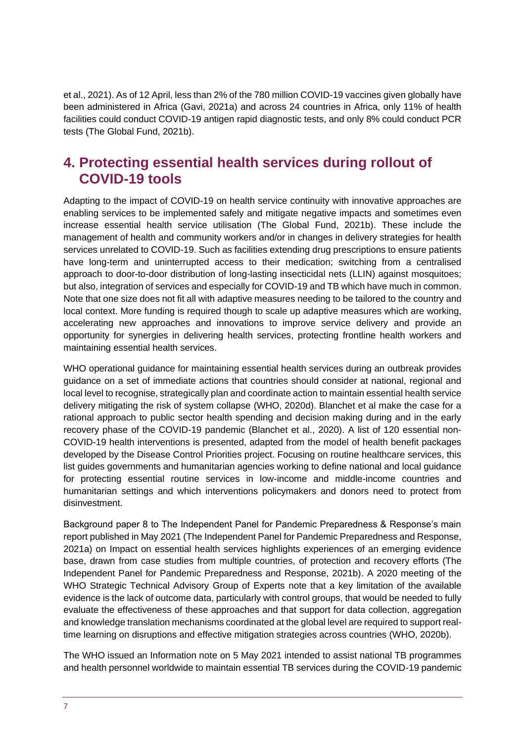et al., 2021). As of 12 April, less than 2% of the 780 million COVID-19 vaccines given globally have been administered in Africa (Gavi, 2021a) and across 24 countries in Africa, only 11% of health facilities could conduct COVID-19 antigen rapid diagnostic tests, and only 8% could conduct PCR tests (The Global Fund, 2021b).

## <span id="page-6-0"></span>**4. Protecting essential health services during rollout of COVID-19 tools**

Adapting to the impact of COVID-19 on health service continuity with innovative approaches are enabling services to be implemented safely and mitigate negative impacts and sometimes even increase essential health service utilisation (The Global Fund, 2021b). These include the management of health and community workers and/or in changes in delivery strategies for health services unrelated to COVID-19. Such as facilities extending drug prescriptions to ensure patients have long-term and uninterrupted access to their medication; switching from a centralised approach to door-to-door distribution of long-lasting insecticidal nets (LLIN) against mosquitoes; but also, integration of services and especially for COVID-19 and TB which have much in common. Note that one size does not fit all with adaptive measures needing to be tailored to the country and local context. More funding is required though to scale up adaptive measures which are working, accelerating new approaches and innovations to improve service delivery and provide an opportunity for synergies in delivering health services, protecting frontline health workers and maintaining essential health services.

WHO operational guidance for maintaining essential health services during an outbreak provides guidance on a set of immediate actions that countries should consider at national, regional and local level to recognise, strategically plan and coordinate action to maintain essential health service delivery mitigating the risk of system collapse (WHO, 2020d). Blanchet et al make the case for a rational approach to public sector health spending and decision making during and in the early recovery phase of the COVID-19 pandemic (Blanchet et al., 2020). A list of 120 essential non-COVID-19 health interventions is presented, adapted from the model of health benefit packages developed by the Disease Control Priorities project. Focusing on routine healthcare services, this list guides governments and humanitarian agencies working to define national and local guidance for protecting essential routine services in low-income and middle-income countries and humanitarian settings and which interventions policymakers and donors need to protect from disinvestment.

Background paper 8 to The Independent Panel for Pandemic Preparedness & Response's main report published in May 2021 (The Independent Panel for Pandemic Preparedness and Response, 2021a) on Impact on essential health services highlights experiences of an emerging evidence base, drawn from case studies from multiple countries, of protection and recovery efforts (The Independent Panel for Pandemic Preparedness and Response, 2021b). A 2020 meeting of the WHO Strategic Technical Advisory Group of Experts note that a key limitation of the available evidence is the lack of outcome data, particularly with control groups, that would be needed to fully evaluate the effectiveness of these approaches and that support for data collection, aggregation and knowledge translation mechanisms coordinated at the global level are required to support realtime learning on disruptions and effective mitigation strategies across countries (WHO, 2020b).

The WHO issued an Information note on 5 May 2021 intended to assist national TB programmes and health personnel worldwide to maintain essential TB services during the COVID-19 pandemic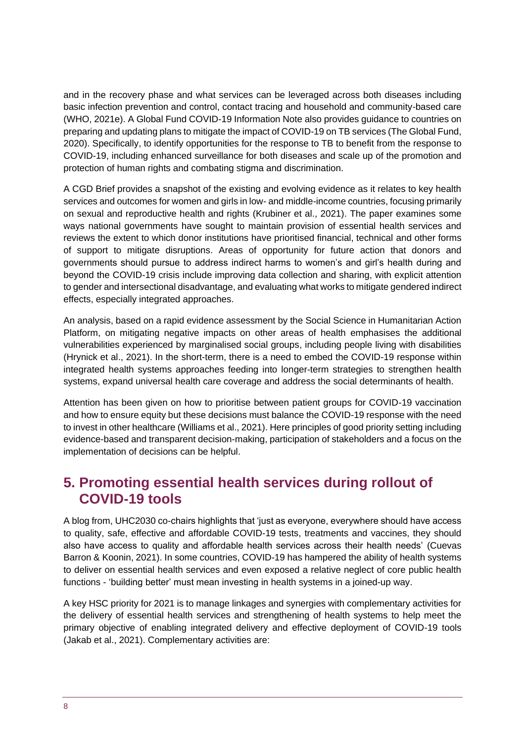and in the recovery phase and what services can be leveraged across both diseases including basic infection prevention and control, contact tracing and household and community-based care (WHO, 2021e). A Global Fund COVID-19 Information Note also provides guidance to countries on preparing and updating plans to mitigate the impact of COVID-19 on TB services (The Global Fund, 2020). Specifically, to identify opportunities for the response to TB to benefit from the response to COVID-19, including enhanced surveillance for both diseases and scale up of the promotion and protection of human rights and combating stigma and discrimination.

A CGD Brief provides a snapshot of the existing and evolving evidence as it relates to key health services and outcomes for women and girls in low- and middle-income countries, focusing primarily on sexual and reproductive health and rights (Krubiner et al., 2021). The paper examines some ways national governments have sought to maintain provision of essential health services and reviews the extent to which donor institutions have prioritised financial, technical and other forms of support to mitigate disruptions. Areas of opportunity for future action that donors and governments should pursue to address indirect harms to women's and girl's health during and beyond the COVID-19 crisis include improving data collection and sharing, with explicit attention to gender and intersectional disadvantage, and evaluating what works to mitigate gendered indirect effects, especially integrated approaches.

An analysis, based on a rapid evidence assessment by the Social Science in Humanitarian Action Platform, on mitigating negative impacts on other areas of health emphasises the additional vulnerabilities experienced by marginalised social groups, including people living with disabilities (Hrynick et al., 2021). In the short-term, there is a need to embed the COVID-19 response within integrated health systems approaches feeding into longer-term strategies to strengthen health systems, expand universal health care coverage and address the social determinants of health.

Attention has been given on how to prioritise between patient groups for COVID-19 vaccination and how to ensure equity but these decisions must balance the COVID-19 response with the need to invest in other healthcare (Williams et al., 2021). Here principles of good priority setting including evidence-based and transparent decision-making, participation of stakeholders and a focus on the implementation of decisions can be helpful.

## <span id="page-7-0"></span>**5. Promoting essential health services during rollout of COVID-19 tools**

A blog from, UHC2030 co-chairs highlights that 'just as everyone, everywhere should have access to quality, safe, effective and affordable COVID-19 tests, treatments and vaccines, they should also have access to quality and affordable health services across their health needs' (Cuevas Barron & Koonin, 2021). In some countries, COVID-19 has hampered the ability of health systems to deliver on essential health services and even exposed a relative neglect of core public health functions - 'building better' must mean investing in health systems in a joined-up way.

A key HSC priority for 2021 is to manage linkages and synergies with complementary activities for the delivery of essential health services and strengthening of health systems to help meet the primary objective of enabling integrated delivery and effective deployment of COVID-19 tools (Jakab et al., 2021). Complementary activities are: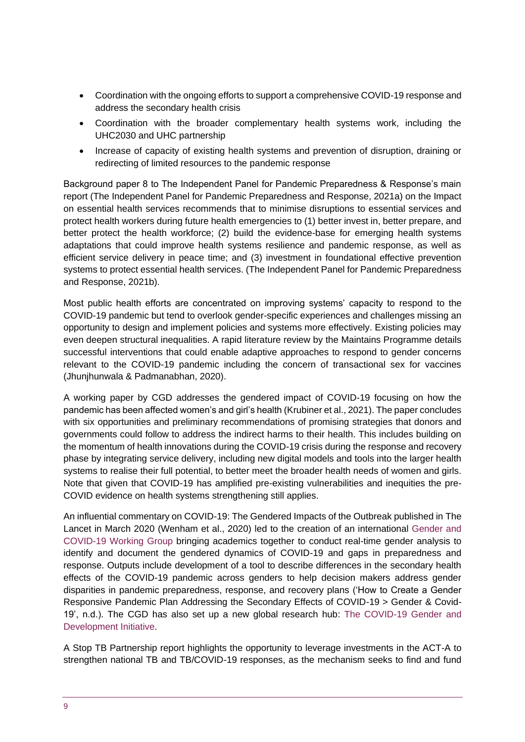- Coordination with the ongoing efforts to support a comprehensive COVID-19 response and address the secondary health crisis
- Coordination with the broader complementary health systems work, including the UHC2030 and UHC partnership
- Increase of capacity of existing health systems and prevention of disruption, draining or redirecting of limited resources to the pandemic response

Background paper 8 to The Independent Panel for Pandemic Preparedness & Response's main report (The Independent Panel for Pandemic Preparedness and Response, 2021a) on the Impact on essential health services recommends that to minimise disruptions to essential services and protect health workers during future health emergencies to (1) better invest in, better prepare, and better protect the health workforce; (2) build the evidence-base for emerging health systems adaptations that could improve health systems resilience and pandemic response, as well as efficient service delivery in peace time; and (3) investment in foundational effective prevention systems to protect essential health services. (The Independent Panel for Pandemic Preparedness and Response, 2021b).

Most public health efforts are concentrated on improving systems' capacity to respond to the COVID-19 pandemic but tend to overlook gender-specific experiences and challenges missing an opportunity to design and implement policies and systems more effectively. Existing policies may even deepen structural inequalities. A rapid literature review by the Maintains Programme details successful interventions that could enable adaptive approaches to respond to gender concerns relevant to the COVID-19 pandemic including the concern of transactional sex for vaccines (Jhunjhunwala & Padmanabhan, 2020).

A working paper by CGD addresses the gendered impact of COVID-19 focusing on how the pandemic has been affected women's and girl's health (Krubiner et al., 2021). The paper concludes with six opportunities and preliminary recommendations of promising strategies that donors and governments could follow to address the indirect harms to their health. This includes building on the momentum of health innovations during the COVID-19 crisis during the response and recovery phase by integrating service delivery, including new digital models and tools into the larger health systems to realise their full potential, to better meet the broader health needs of women and girls. Note that given that COVID-19 has amplified pre-existing vulnerabilities and inequities the pre-COVID evidence on health systems strengthening still applies.

An influential commentary on COVID-19: The Gendered Impacts of the Outbreak published in The Lancet in March 2020 (Wenham et al., 2020) led to the creation of an international [Gender and](https://www.genderandcovid-19.org/)  [COVID-19 Working Group](https://www.genderandcovid-19.org/) bringing academics together to conduct real-time gender analysis to identify and document the gendered dynamics of COVID-19 and gaps in preparedness and response. Outputs include development of a tool to describe differences in the secondary health effects of the COVID-19 pandemic across genders to help decision makers address gender disparities in pandemic preparedness, response, and recovery plans ('How to Create a Gender Responsive Pandemic Plan Addressing the Secondary Effects of COVID-19 > Gender & Covid-19', n.d.). The CGD has also set up a new global research hub: [The COVID-19 Gender and](https://www.cgdev.org/project/covid-gender-initiative) [Development Initiative.](https://www.cgdev.org/project/covid-gender-initiative)

A Stop TB Partnership report highlights the opportunity to leverage investments in the ACT-A to strengthen national TB and TB/COVID-19 responses, as the mechanism seeks to find and fund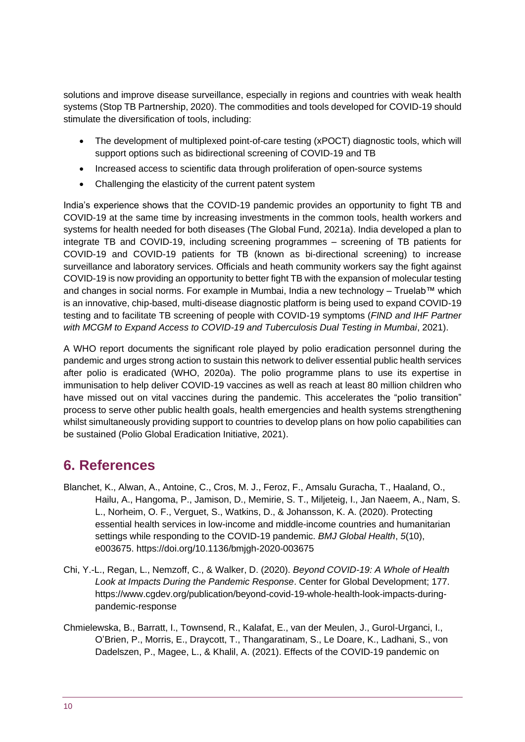solutions and improve disease surveillance, especially in regions and countries with weak health systems (Stop TB Partnership, 2020). The commodities and tools developed for COVID-19 should stimulate the diversification of tools, including:

- The development of multiplexed point-of-care testing (xPOCT) diagnostic tools, which will support options such as bidirectional screening of COVID-19 and TB
- Increased access to scientific data through proliferation of open-source systems
- Challenging the elasticity of the current patent system

India's experience shows that the COVID-19 pandemic provides an opportunity to fight TB and COVID-19 at the same time by increasing investments in the common tools, health workers and systems for health needed for both diseases (The Global Fund, 2021a). India developed a plan to integrate TB and COVID-19, including screening programmes – screening of TB patients for COVID-19 and COVID-19 patients for TB (known as bi-directional screening) to increase surveillance and laboratory services. Officials and heath community workers say the fight against COVID-19 is now providing an opportunity to better fight TB with the expansion of molecular testing and changes in social norms. For example in Mumbai, India a new technology – Truelab™ which is an innovative, chip-based, multi-disease diagnostic platform is being used to expand COVID-19 testing and to facilitate TB screening of people with COVID-19 symptoms (*FIND and IHF Partner with MCGM to Expand Access to COVID-19 and Tuberculosis Dual Testing in Mumbai*, 2021).

A WHO report documents the significant role played by polio eradication personnel during the pandemic and urges strong action to sustain this network to deliver essential public health services after polio is eradicated (WHO, 2020a). The polio programme plans to use its expertise in immunisation to help deliver COVID-19 vaccines as well as reach at least 80 million children who have missed out on vital vaccines during the pandemic. This accelerates the "polio transition" process to serve other public health goals, health emergencies and health systems strengthening whilst simultaneously providing support to countries to develop plans on how polio capabilities can be sustained (Polio Global Eradication Initiative, 2021).

#### <span id="page-9-0"></span>**6. References**

- Blanchet, K., Alwan, A., Antoine, C., Cros, M. J., Feroz, F., Amsalu Guracha, T., Haaland, O., Hailu, A., Hangoma, P., Jamison, D., Memirie, S. T., Miljeteig, I., Jan Naeem, A., Nam, S. L., Norheim, O. F., Verguet, S., Watkins, D., & Johansson, K. A. (2020). Protecting essential health services in low-income and middle-income countries and humanitarian settings while responding to the COVID-19 pandemic. *BMJ Global Health*, *5*(10), e003675. https://doi.org/10.1136/bmjgh-2020-003675
- Chi, Y.-L., Regan, L., Nemzoff, C., & Walker, D. (2020). *Beyond COVID-19: A Whole of Health Look at Impacts During the Pandemic Response*. Center for Global Development; 177. https://www.cgdev.org/publication/beyond-covid-19-whole-health-look-impacts-duringpandemic-response
- Chmielewska, B., Barratt, I., Townsend, R., Kalafat, E., van der Meulen, J., Gurol-Urganci, I., O'Brien, P., Morris, E., Draycott, T., Thangaratinam, S., Le Doare, K., Ladhani, S., von Dadelszen, P., Magee, L., & Khalil, A. (2021). Effects of the COVID-19 pandemic on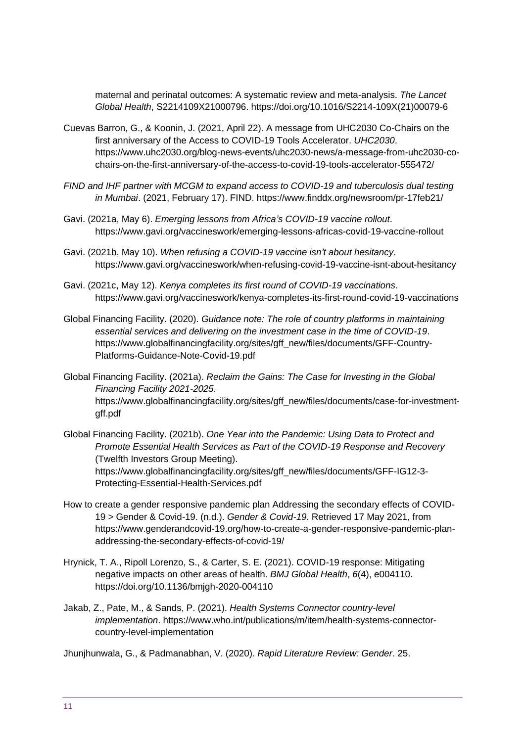maternal and perinatal outcomes: A systematic review and meta-analysis. *The Lancet Global Health*, S2214109X21000796. https://doi.org/10.1016/S2214-109X(21)00079-6

- Cuevas Barron, G., & Koonin, J. (2021, April 22). A message from UHC2030 Co-Chairs on the first anniversary of the Access to COVID-19 Tools Accelerator. *UHC2030*. https://www.uhc2030.org/blog-news-events/uhc2030-news/a-message-from-uhc2030-cochairs-on-the-first-anniversary-of-the-access-to-covid-19-tools-accelerator-555472/
- *FIND and IHF partner with MCGM to expand access to COVID-19 and tuberculosis dual testing in Mumbai*. (2021, February 17). FIND. https://www.finddx.org/newsroom/pr-17feb21/
- Gavi. (2021a, May 6). *Emerging lessons from Africa's COVID-19 vaccine rollout*. https://www.gavi.org/vaccineswork/emerging-lessons-africas-covid-19-vaccine-rollout
- Gavi. (2021b, May 10). *When refusing a COVID-19 vaccine isn't about hesitancy*. https://www.gavi.org/vaccineswork/when-refusing-covid-19-vaccine-isnt-about-hesitancy
- Gavi. (2021c, May 12). *Kenya completes its first round of COVID-19 vaccinations*. https://www.gavi.org/vaccineswork/kenya-completes-its-first-round-covid-19-vaccinations
- Global Financing Facility. (2020). *Guidance note: The role of country platforms in maintaining essential services and delivering on the investment case in the time of COVID-19*. https://www.globalfinancingfacility.org/sites/gff\_new/files/documents/GFF-Country-Platforms-Guidance-Note-Covid-19.pdf
- Global Financing Facility. (2021a). *Reclaim the Gains: The Case for Investing in the Global Financing Facility 2021-2025*. https://www.globalfinancingfacility.org/sites/gff\_new/files/documents/case-for-investmentgff.pdf
- Global Financing Facility. (2021b). *One Year into the Pandemic: Using Data to Protect and Promote Essential Health Services as Part of the COVID-19 Response and Recovery* (Twelfth Investors Group Meeting). https://www.globalfinancingfacility.org/sites/gff\_new/files/documents/GFF-IG12-3- Protecting-Essential-Health-Services.pdf
- How to create a gender responsive pandemic plan Addressing the secondary effects of COVID-19 > Gender & Covid-19. (n.d.). *Gender & Covid-19*. Retrieved 17 May 2021, from https://www.genderandcovid-19.org/how-to-create-a-gender-responsive-pandemic-planaddressing-the-secondary-effects-of-covid-19/
- Hrynick, T. A., Ripoll Lorenzo, S., & Carter, S. E. (2021). COVID-19 response: Mitigating negative impacts on other areas of health. *BMJ Global Health*, *6*(4), e004110. https://doi.org/10.1136/bmjgh-2020-004110
- Jakab, Z., Pate, M., & Sands, P. (2021). *Health Systems Connector country-level implementation*. https://www.who.int/publications/m/item/health-systems-connectorcountry-level-implementation

Jhunjhunwala, G., & Padmanabhan, V. (2020). *Rapid Literature Review: Gender*. 25.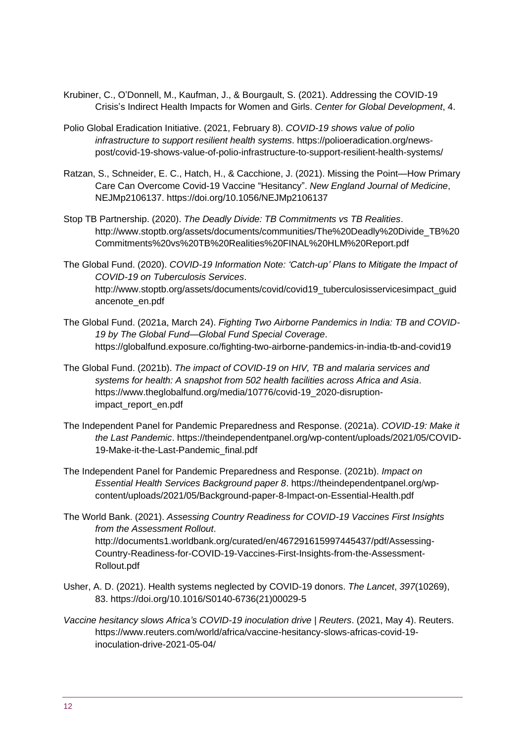- Krubiner, C., O'Donnell, M., Kaufman, J., & Bourgault, S. (2021). Addressing the COVID-19 Crisis's Indirect Health Impacts for Women and Girls. *Center for Global Development*, 4.
- Polio Global Eradication Initiative. (2021, February 8). *COVID-19 shows value of polio infrastructure to support resilient health systems*. https://polioeradication.org/newspost/covid-19-shows-value-of-polio-infrastructure-to-support-resilient-health-systems/
- Ratzan, S., Schneider, E. C., Hatch, H., & Cacchione, J. (2021). Missing the Point—How Primary Care Can Overcome Covid-19 Vaccine "Hesitancy". *New England Journal of Medicine*, NEJMp2106137. https://doi.org/10.1056/NEJMp2106137
- Stop TB Partnership. (2020). *The Deadly Divide: TB Commitments vs TB Realities*. http://www.stoptb.org/assets/documents/communities/The%20Deadly%20Divide\_TB%20 Commitments%20vs%20TB%20Realities%20FINAL%20HLM%20Report.pdf
- The Global Fund. (2020). *COVID-19 Information Note: 'Catch-up' Plans to Mitigate the Impact of COVID-19 on Tuberculosis Services*. http://www.stoptb.org/assets/documents/covid/covid19\_tuberculosisservicesimpact\_guid ancenote\_en.pdf
- The Global Fund. (2021a, March 24). *Fighting Two Airborne Pandemics in India: TB and COVID-19 by The Global Fund—Global Fund Special Coverage*. https://globalfund.exposure.co/fighting-two-airborne-pandemics-in-india-tb-and-covid19
- The Global Fund. (2021b). *The impact of COVID-19 on HIV, TB and malaria services and systems for health: A snapshot from 502 health facilities across Africa and Asia*. https://www.theglobalfund.org/media/10776/covid-19\_2020-disruptionimpact\_report\_en.pdf
- The Independent Panel for Pandemic Preparedness and Response. (2021a). *COVID-19: Make it the Last Pandemic*. https://theindependentpanel.org/wp-content/uploads/2021/05/COVID-19-Make-it-the-Last-Pandemic\_final.pdf
- The Independent Panel for Pandemic Preparedness and Response. (2021b). *Impact on Essential Health Services Background paper 8*. https://theindependentpanel.org/wpcontent/uploads/2021/05/Background-paper-8-Impact-on-Essential-Health.pdf
- The World Bank. (2021). *Assessing Country Readiness for COVID-19 Vaccines First Insights from the Assessment Rollout*. http://documents1.worldbank.org/curated/en/467291615997445437/pdf/Assessing-Country-Readiness-for-COVID-19-Vaccines-First-Insights-from-the-Assessment-Rollout.pdf
- Usher, A. D. (2021). Health systems neglected by COVID-19 donors. *The Lancet*, *397*(10269), 83. https://doi.org/10.1016/S0140-6736(21)00029-5
- *Vaccine hesitancy slows Africa's COVID-19 inoculation drive | Reuters*. (2021, May 4). Reuters. https://www.reuters.com/world/africa/vaccine-hesitancy-slows-africas-covid-19 inoculation-drive-2021-05-04/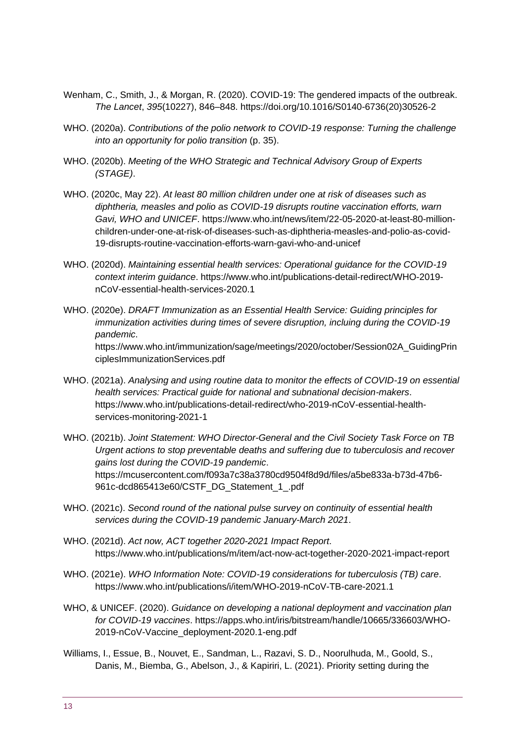- Wenham, C., Smith, J., & Morgan, R. (2020). COVID-19: The gendered impacts of the outbreak. *The Lancet*, *395*(10227), 846–848. https://doi.org/10.1016/S0140-6736(20)30526-2
- WHO. (2020a). *Contributions of the polio network to COVID-19 response: Turning the challenge into an opportunity for polio transition* (p. 35).
- WHO. (2020b). *Meeting of the WHO Strategic and Technical Advisory Group of Experts (STAGE)*.
- WHO. (2020c, May 22). *At least 80 million children under one at risk of diseases such as diphtheria, measles and polio as COVID-19 disrupts routine vaccination efforts, warn Gavi, WHO and UNICEF*. https://www.who.int/news/item/22-05-2020-at-least-80-millionchildren-under-one-at-risk-of-diseases-such-as-diphtheria-measles-and-polio-as-covid-19-disrupts-routine-vaccination-efforts-warn-gavi-who-and-unicef
- WHO. (2020d). *Maintaining essential health services: Operational guidance for the COVID-19 context interim guidance*. https://www.who.int/publications-detail-redirect/WHO-2019 nCoV-essential-health-services-2020.1
- WHO. (2020e). *DRAFT Immunization as an Essential Health Service: Guiding principles for immunization activities during times of severe disruption, incluing during the COVID-19 pandemic*. https://www.who.int/immunization/sage/meetings/2020/october/Session02A\_GuidingPrin ciplesImmunizationServices.pdf
- WHO. (2021a). *Analysing and using routine data to monitor the effects of COVID-19 on essential health services: Practical guide for national and subnational decision-makers*. https://www.who.int/publications-detail-redirect/who-2019-nCoV-essential-healthservices-monitoring-2021-1
- WHO. (2021b). *Joint Statement: WHO Director-General and the Civil Society Task Force on TB Urgent actions to stop preventable deaths and suffering due to tuberculosis and recover gains lost during the COVID-19 pandemic*. https://mcusercontent.com/f093a7c38a3780cd9504f8d9d/files/a5be833a-b73d-47b6- 961c-dcd865413e60/CSTF\_DG\_Statement\_1\_.pdf
- WHO. (2021c). *Second round of the national pulse survey on continuity of essential health services during the COVID-19 pandemic January-March 2021*.
- WHO. (2021d). *Act now, ACT together 2020-2021 Impact Report*. https://www.who.int/publications/m/item/act-now-act-together-2020-2021-impact-report
- WHO. (2021e). *WHO Information Note: COVID-19 considerations for tuberculosis (TB) care*. https://www.who.int/publications/i/item/WHO-2019-nCoV-TB-care-2021.1
- WHO, & UNICEF. (2020). *Guidance on developing a national deployment and vaccination plan for COVID-19 vaccines*. https://apps.who.int/iris/bitstream/handle/10665/336603/WHO-2019-nCoV-Vaccine\_deployment-2020.1-eng.pdf
- Williams, I., Essue, B., Nouvet, E., Sandman, L., Razavi, S. D., Noorulhuda, M., Goold, S., Danis, M., Biemba, G., Abelson, J., & Kapiriri, L. (2021). Priority setting during the